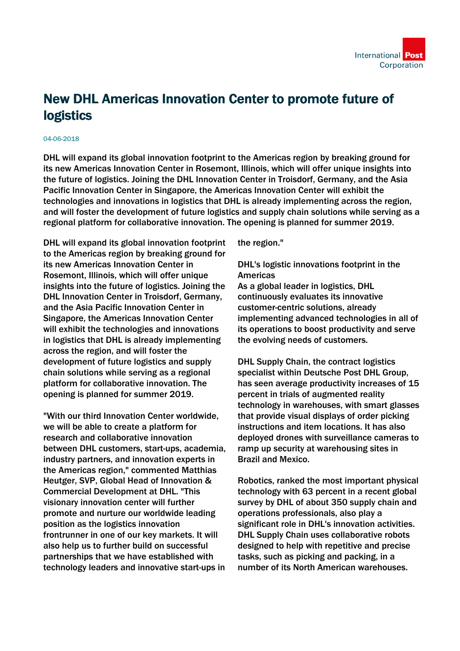## New DHL Americas Innovation Center to promote future of logistics

## 04-06-2018

DHL will expand its global innovation footprint to the Americas region by breaking ground for its new Americas Innovation Center in Rosemont, Illinois, which will offer unique insights into the future of logistics. Joining the DHL Innovation Center in Troisdorf, Germany, and the Asia Pacific Innovation Center in Singapore, the Americas Innovation Center will exhibit the technologies and innovations in logistics that DHL is already implementing across the region, and will foster the development of future logistics and supply chain solutions while serving as a regional platform for collaborative innovation. The opening is planned for summer 2019.

DHL will expand its global innovation footprint to the Americas region by breaking ground for its new Americas Innovation Center in Rosemont, Illinois, which will offer unique insights into the future of logistics. Joining the DHL Innovation Center in Troisdorf, Germany, and the Asia Pacific Innovation Center in Singapore, the Americas Innovation Center will exhibit the technologies and innovations in logistics that DHL is already implementing across the region, and will foster the development of future logistics and supply chain solutions while serving as a regional platform for collaborative innovation. The opening is planned for summer 2019.

"With our third Innovation Center worldwide, we will be able to create a platform for research and collaborative innovation between DHL customers, start-ups, academia, industry partners, and innovation experts in the Americas region," commented Matthias Heutger, SVP, Global Head of Innovation & Commercial Development at DHL. "This visionary innovation center will further promote and nurture our worldwide leading position as the logistics innovation frontrunner in one of our key markets. It will also help us to further build on successful partnerships that we have established with technology leaders and innovative start-ups in the region."

## DHL's logistic innovations footprint in the Americas

As a global leader in logistics, DHL continuously evaluates its innovative customer-centric solutions, already implementing advanced technologies in all of its operations to boost productivity and serve the evolving needs of customers.

DHL Supply Chain, the contract logistics specialist within Deutsche Post DHL Group, has seen average productivity increases of 15 percent in trials of augmented reality technology in warehouses, with smart glasses that provide visual displays of order picking instructions and item locations. It has also deployed drones with surveillance cameras to ramp up security at warehousing sites in Brazil and Mexico.

Robotics, ranked the most important physical technology with 63 percent in a recent global survey by DHL of about 350 supply chain and operations professionals, also play a significant role in DHL's innovation activities. DHL Supply Chain uses collaborative robots designed to help with repetitive and precise tasks, such as picking and packing, in a number of its North American warehouses.